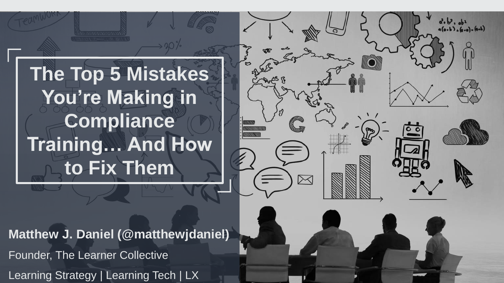**The Top 5 Mistakes You're Making in Compliance Training… And How to Fix Them**

**Matthew J. Daniel (@matthewjdaniel)** Founder, The Learner Collective Learning Strategy | Learning Tech | LX

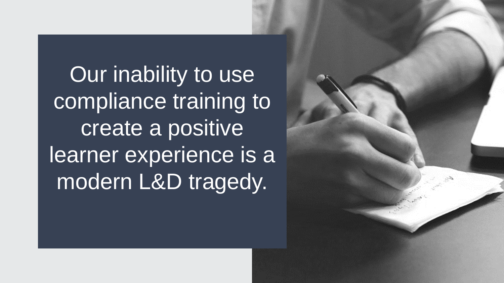Our inability to use compliance training to create a positive learner experience is a modern L&D tragedy.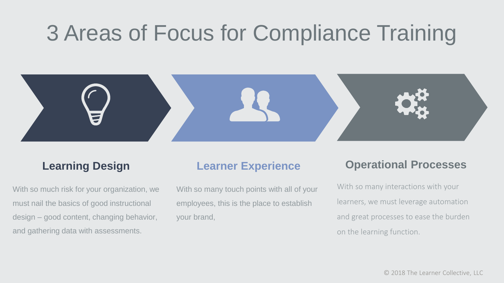# 3 Areas of Focus for Compliance Training



#### **Learning Design**

With so much risk for your organization, we must nail the basics of good instructional design – good content, changing behavior, and gathering data with assessments.

#### **Learner Experience**

With so many touch points with all of your employees, this is the place to establish your brand,

#### **Operational Processes**

With so many interactions with your learners, we must leverage automation and great processes to ease the burden on the learning function.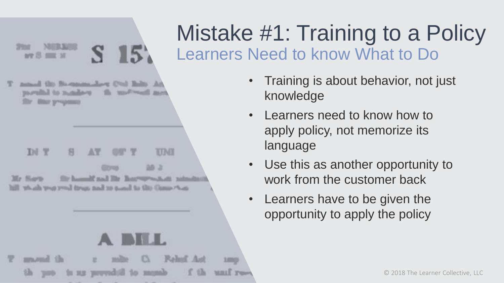#### N  $15$

need the Someondor Col lish. At partial to node-o **Mind Wood** Bank Воду ручанию

DJ T TUME 38.2 Gitres the household and like Bourney-solicity reducible thaik true you) fires and in tasal to this Game Aus-

## **START LA** mond the

**1,000** 

is us prevedoù to munh **MILLE** Twee

## Learners Need to know What to Do Mistake #1: Training to a Policy

- Training is about behavior, not just knowledge
- Learners need to know how to apply policy, not memorize its language
- Use this as another opportunity to work from the customer back
- Learners have to be given the opportunity to apply the policy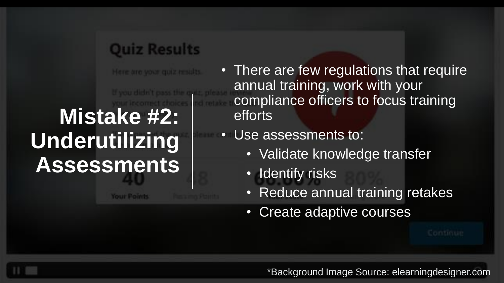### **Quiz Results**

Here are your quiz results.

# **Mistake #2: Underutilizing Assessments**

**Your Point** 

- There are few regulations that require annual training, work with your compliance officers to focus training efforts
- Use assessments to:
	- Validate knowledge transfer
	- Identify risks
	- Reduce annual training retakes
	- Create adaptive courses

\*Background Image Source: elearningdesigner.com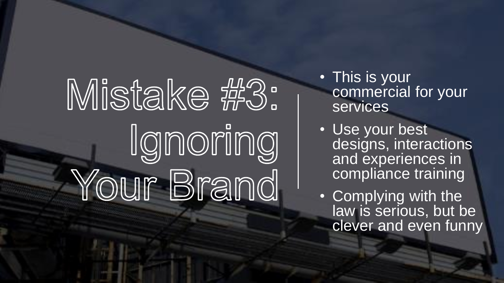# Mistake #3: Ignoring Your Brand

- This is your commercial for your **services**
- Use your best designs, interactions and experiences in compliance training
- Complying with the law is serious, but be clever and even funny

© 2018 The Learner Collective, LLC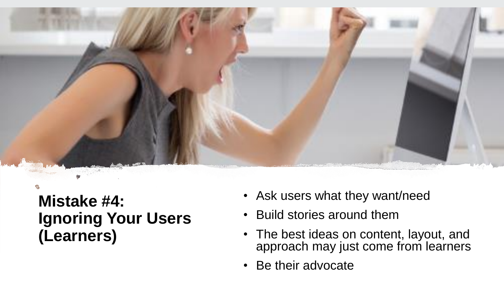

**Mistake #4: Ignoring Your Users (Learners)**

- Ask users what they want/need
- Build stories around them
- The best ideas on content, layout, and approach may just come from learners
- Be their advocate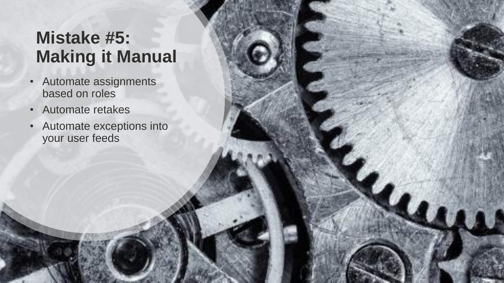## **Mistake #5: Making it Manual**

- Automate assignments based on roles
- Automate retakes
- Automate exceptions into your user feeds

© 2018 The Learner Collective, LLC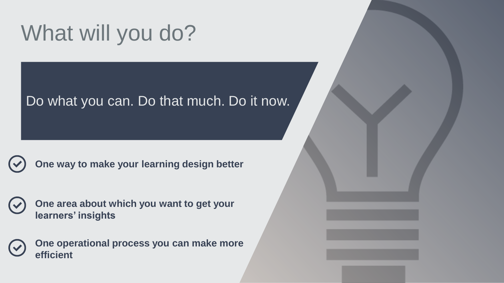# What will you do?

#### Do what you can. Do that much. Do it now.

**One way to make your learning design better**

**One area about which you want to get your learners' insights** 

**One operational process you can make more efficient**